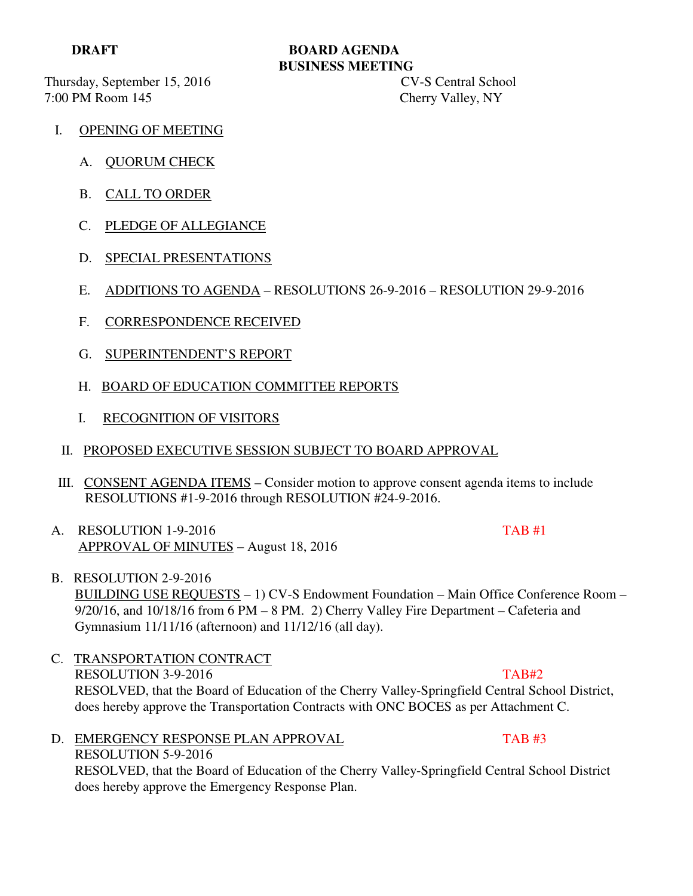Thursday, September 15, 2016 CV-S Central School 7:00 PM Room 145 Cherry Valley, NY

## **DRAFT BOARD AGENDA BUSINESS MEETING**

- I. OPENING OF MEETING
	- A. QUORUM CHECK
	- B. CALL TO ORDER
	- C. PLEDGE OF ALLEGIANCE
	- D. SPECIAL PRESENTATIONS
	- E. ADDITIONS TO AGENDA RESOLUTIONS 26-9-2016 RESOLUTION 29-9-2016
	- F. CORRESPONDENCE RECEIVED
	- G. SUPERINTENDENT'S REPORT
	- H. BOARD OF EDUCATION COMMITTEE REPORTS
	- I. RECOGNITION OF VISITORS
	- II. PROPOSED EXECUTIVE SESSION SUBJECT TO BOARD APPROVAL
- III. CONSENT AGENDA ITEMS Consider motion to approve consent agenda items to include RESOLUTIONS #1-9-2016 through RESOLUTION #24-9-2016.
- A. RESOLUTION 1-9-2016 **TAB #1** APPROVAL OF MINUTES – August 18, 2016
- B. RESOLUTION 2-9-2016 BUILDING USE REQUESTS – 1) CV-S Endowment Foundation – Main Office Conference Room – 9/20/16, and 10/18/16 from 6 PM – 8 PM. 2) Cherry Valley Fire Department – Cafeteria and Gymnasium 11/11/16 (afternoon) and 11/12/16 (all day).
- C. TRANSPORTATION CONTRACT RESOLUTION 3-9-2016 TAB#2 RESOLVED, that the Board of Education of the Cherry Valley-Springfield Central School District, does hereby approve the Transportation Contracts with ONC BOCES as per Attachment C.
- D. EMERGENCY RESPONSE PLAN APPROVAL TAB #3 RESOLUTION 5-9-2016 RESOLVED, that the Board of Education of the Cherry Valley-Springfield Central School District does hereby approve the Emergency Response Plan.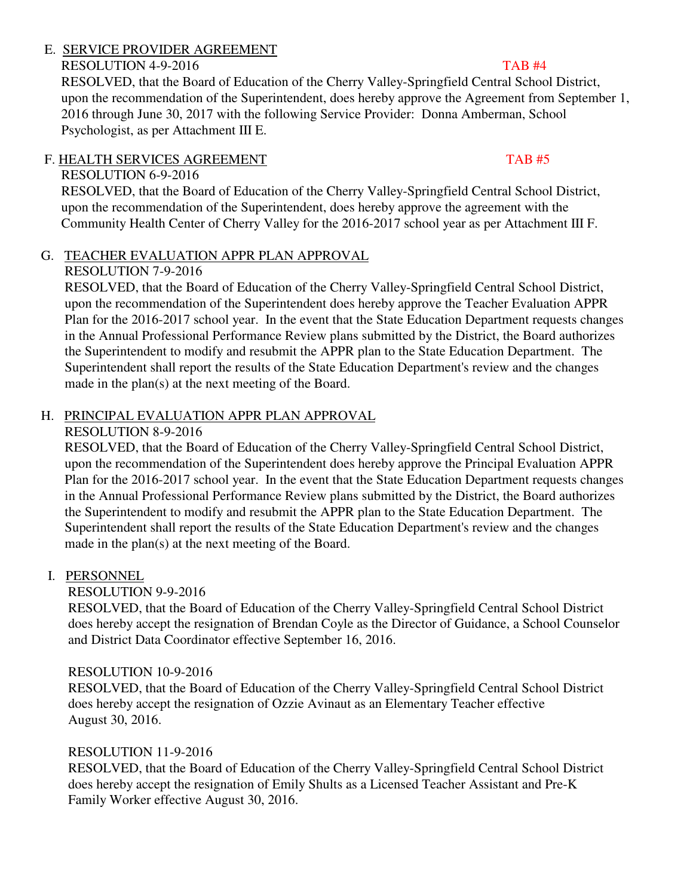# E. SERVICE PROVIDER AGREEMENT

# RESOLUTION 4-9-2016 TAB #4

 RESOLVED, that the Board of Education of the Cherry Valley-Springfield Central School District, upon the recommendation of the Superintendent, does hereby approve the Agreement from September 1, 2016 through June 30, 2017 with the following Service Provider: Donna Amberman, School Psychologist, as per Attachment III E.

# F. HEALTH SERVICES AGREEMENT TAB #5

# RESOLUTION 6-9-2016

 RESOLVED, that the Board of Education of the Cherry Valley-Springfield Central School District, upon the recommendation of the Superintendent, does hereby approve the agreement with the Community Health Center of Cherry Valley for the 2016-2017 school year as per Attachment III F.

# G. TEACHER EVALUATION APPR PLAN APPROVAL

# RESOLUTION 7-9-2016

 RESOLVED, that the Board of Education of the Cherry Valley-Springfield Central School District, upon the recommendation of the Superintendent does hereby approve the Teacher Evaluation APPR Plan for the 2016-2017 school year. In the event that the State Education Department requests changes in the Annual Professional Performance Review plans submitted by the District, the Board authorizes the Superintendent to modify and resubmit the APPR plan to the State Education Department. The Superintendent shall report the results of the State Education Department's review and the changes made in the plan(s) at the next meeting of the Board.

# H. PRINCIPAL EVALUATION APPR PLAN APPROVAL

# RESOLUTION 8-9-2016

 RESOLVED, that the Board of Education of the Cherry Valley-Springfield Central School District, upon the recommendation of the Superintendent does hereby approve the Principal Evaluation APPR Plan for the 2016-2017 school year. In the event that the State Education Department requests changes in the Annual Professional Performance Review plans submitted by the District, the Board authorizes the Superintendent to modify and resubmit the APPR plan to the State Education Department. The Superintendent shall report the results of the State Education Department's review and the changes made in the plan(s) at the next meeting of the Board.

# I. PERSONNEL

# RESOLUTION 9-9-2016

 RESOLVED, that the Board of Education of the Cherry Valley-Springfield Central School District does hereby accept the resignation of Brendan Coyle as the Director of Guidance, a School Counselor and District Data Coordinator effective September 16, 2016.

# RESOLUTION 10-9-2016

 RESOLVED, that the Board of Education of the Cherry Valley-Springfield Central School District does hereby accept the resignation of Ozzie Avinaut as an Elementary Teacher effective August 30, 2016.

# RESOLUTION 11-9-2016

 RESOLVED, that the Board of Education of the Cherry Valley-Springfield Central School District does hereby accept the resignation of Emily Shults as a Licensed Teacher Assistant and Pre-K Family Worker effective August 30, 2016.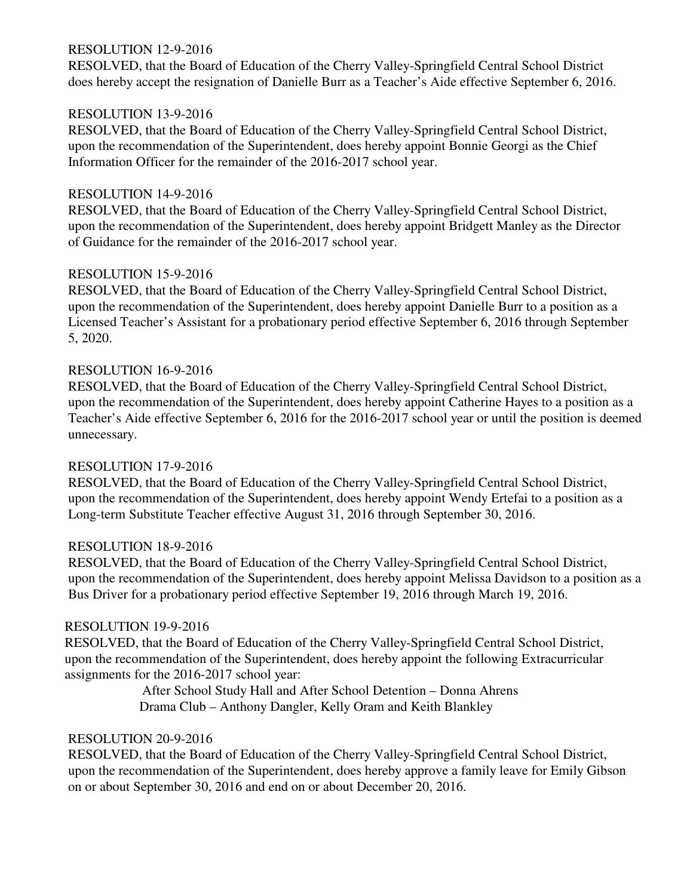### RESOLUTION 12-9-2016

 RESOLVED, that the Board of Education of the Cherry Valley-Springfield Central School District does hereby accept the resignation of Danielle Burr as a Teacher's Aide effective September 6, 2016.

### RESOLUTION 13-9-2016

 RESOLVED, that the Board of Education of the Cherry Valley-Springfield Central School District, upon the recommendation of the Superintendent, does hereby appoint Bonnie Georgi as the Chief Information Officer for the remainder of the 2016-2017 school year.

### RESOLUTION 14-9-2016

 RESOLVED, that the Board of Education of the Cherry Valley-Springfield Central School District, upon the recommendation of the Superintendent, does hereby appoint Bridgett Manley as the Director of Guidance for the remainder of the 2016-2017 school year.

### RESOLUTION 15-9-2016

 RESOLVED, that the Board of Education of the Cherry Valley-Springfield Central School District, upon the recommendation of the Superintendent, does hereby appoint Danielle Burr to a position as a Licensed Teacher's Assistant for a probationary period effective September 6, 2016 through September 5, 2020.

### RESOLUTION 16-9-2016

 RESOLVED, that the Board of Education of the Cherry Valley-Springfield Central School District, upon the recommendation of the Superintendent, does hereby appoint Catherine Hayes to a position as a Teacher's Aide effective September 6, 2016 for the 2016-2017 school year or until the position is deemed unnecessary.

## RESOLUTION 17-9-2016

 RESOLVED, that the Board of Education of the Cherry Valley-Springfield Central School District, upon the recommendation of the Superintendent, does hereby appoint Wendy Ertefai to a position as a Long-term Substitute Teacher effective August 31, 2016 through September 30, 2016.

### RESOLUTION 18-9-2016

 RESOLVED, that the Board of Education of the Cherry Valley-Springfield Central School District, upon the recommendation of the Superintendent, does hereby appoint Melissa Davidson to a position as a Bus Driver for a probationary period effective September 19, 2016 through March 19, 2016.

### RESOLUTION 19-9-2016

 RESOLVED, that the Board of Education of the Cherry Valley-Springfield Central School District, upon the recommendation of the Superintendent, does hereby appoint the following Extracurricular assignments for the 2016-2017 school year:

> After School Study Hall and After School Detention – Donna Ahrens Drama Club – Anthony Dangler, Kelly Oram and Keith Blankley

### RESOLUTION 20-9-2016

 RESOLVED, that the Board of Education of the Cherry Valley-Springfield Central School District, upon the recommendation of the Superintendent, does hereby approve a family leave for Emily Gibson on or about September 30, 2016 and end on or about December 20, 2016.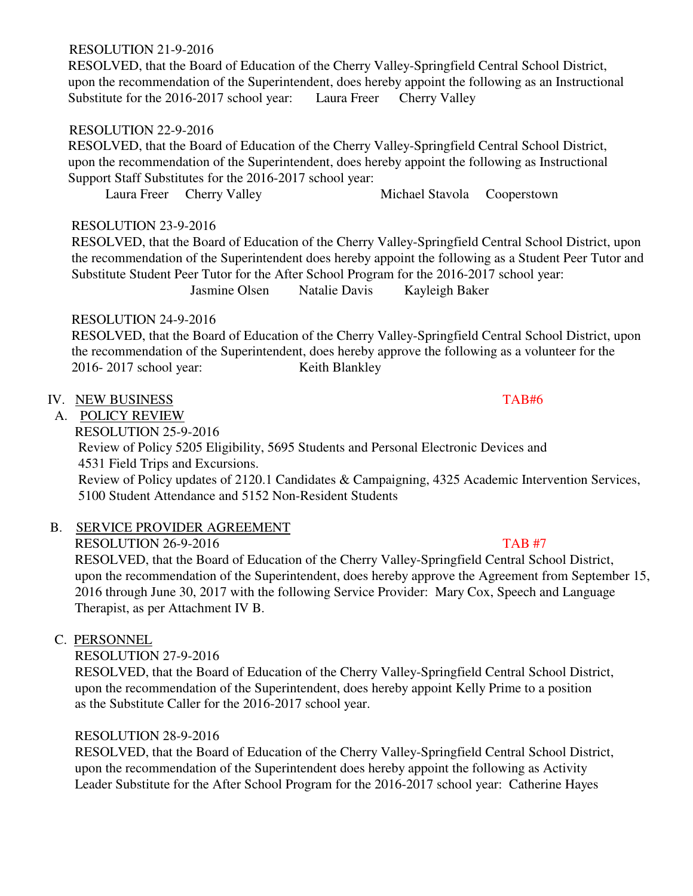# RESOLUTION 21-9-2016

 RESOLVED, that the Board of Education of the Cherry Valley-Springfield Central School District, upon the recommendation of the Superintendent, does hereby appoint the following as an Instructional Substitute for the 2016-2017 school year: Laura Freer Cherry Valley

## RESOLUTION 22-9-2016

 RESOLVED, that the Board of Education of the Cherry Valley-Springfield Central School District, upon the recommendation of the Superintendent, does hereby appoint the following as Instructional Support Staff Substitutes for the 2016-2017 school year:

Laura Freer Cherry Valley Michael Stavola Cooperstown

## RESOLUTION 23-9-2016

 RESOLVED, that the Board of Education of the Cherry Valley-Springfield Central School District, upon the recommendation of the Superintendent does hereby appoint the following as a Student Peer Tutor and Substitute Student Peer Tutor for the After School Program for the 2016-2017 school year: Jasmine Olsen Natalie Davis Kayleigh Baker

# RESOLUTION 24-9-2016

 RESOLVED, that the Board of Education of the Cherry Valley-Springfield Central School District, upon the recommendation of the Superintendent, does hereby approve the following as a volunteer for the 2016- 2017 school year: Keith Blankley

## IV. NEW BUSINESS TAB#6

# A. POLICY REVIEW

RESOLUTION 25-9-2016

 Review of Policy 5205 Eligibility, 5695 Students and Personal Electronic Devices and 4531 Field Trips and Excursions.

 Review of Policy updates of 2120.1 Candidates & Campaigning, 4325 Academic Intervention Services, 5100 Student Attendance and 5152 Non-Resident Students

# B. SERVICE PROVIDER AGREEMENT

RESOLUTION 26-9-2016 TAB #7

 RESOLVED, that the Board of Education of the Cherry Valley-Springfield Central School District, upon the recommendation of the Superintendent, does hereby approve the Agreement from September 15, 2016 through June 30, 2017 with the following Service Provider: Mary Cox, Speech and Language Therapist, as per Attachment IV B.

# C. PERSONNEL

RESOLUTION 27-9-2016

 RESOLVED, that the Board of Education of the Cherry Valley-Springfield Central School District, upon the recommendation of the Superintendent, does hereby appoint Kelly Prime to a position as the Substitute Caller for the 2016-2017 school year.

## RESOLUTION 28-9-2016

 RESOLVED, that the Board of Education of the Cherry Valley-Springfield Central School District, upon the recommendation of the Superintendent does hereby appoint the following as Activity Leader Substitute for the After School Program for the 2016-2017 school year: Catherine Hayes